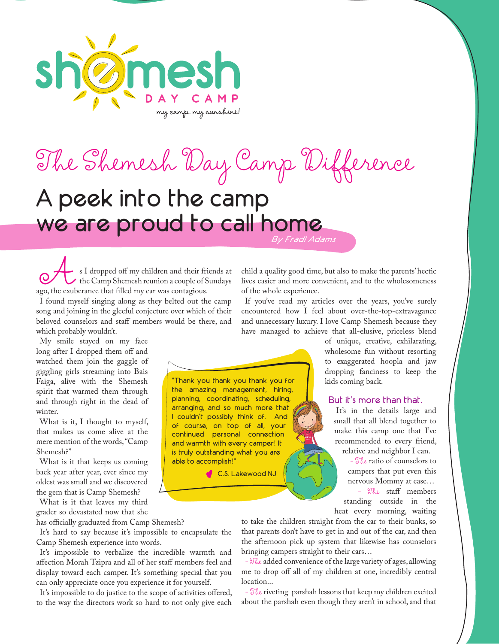

# The Shemesh Day Camp Difference

## By Fradl Adams A peek into the camp we are proud to call home

s I dropped off my children and their friends at the Camp Shemesh reunion a couple of Sundays ago, the exuberance that filled my car was contagious.

I found myself singing along as they belted out the camp song and joining in the gleeful conjecture over which of their beloved counselors and staff members would be there, and which probably wouldn't.

My smile stayed on my face long after I dropped them off and watched them join the gaggle of giggling girls streaming into Bais Faiga, alive with the Shemesh spirit that warmed them through and through right in the dead of winter.

What is it, I thought to myself, that makes us come alive at the mere mention of the words, "Camp Shemesh?"

What is it that keeps us coming back year after year, ever since my oldest was small and we discovered the gem that is Camp Shemesh?

What is it that leaves my third grader so devastated now that she

has officially graduated from Camp Shemesh?

It's hard to say because it's impossible to encapsulate the Camp Shemesh experience into words.

It's impossible to verbalize the incredible warmth and affection Morah Tzipra and all of her staff members feel and display toward each camper. It's something special that you can only appreciate once you experience it for yourself.

It's impossible to do justice to the scope of activities offered, to the way the directors work so hard to not only give each

child a quality good time, but also to make the parents' hectic lives easier and more convenient, and to the wholesomeness of the whole experience.

If you've read my articles over the years, you've surely encountered how I feel about over-the-top-extravagance and unnecessary luxury. I love Camp Shemesh because they have managed to achieve that all-elusive, priceless blend

> of unique, creative, exhilarating, wholesome fun without resorting to exaggerated hoopla and jaw dropping fanciness to keep the kids coming back.

#### But it's more than that.

It's in the details large and small that all blend together to make this camp one that I've recommended to every friend, relative and neighbor I can.

> - The ratio of counselors to campers that put even this nervous Mommy at ease… - The staff members standing outside in the

heat every morning, waiting

to take the children straight from the car to their bunks, so that parents don't have to get in and out of the car, and then the afternoon pick up system that likewise has counselors bringing campers straight to their cars…

- The added convenience of the large variety of ages, allowing me to drop off all of my children at one, incredibly central location...

- The riveting parshah lessons that keep my children excited about the parshah even though they aren't in school, and that

the amazing management, hiring, planning, coordinating, scheduling, arranging, and so much more that I couldn't possibly think of. And of course, on top of all, your continued personal connection and warmth with every camper! It is truly outstanding what you are able to accomplish!"

"Thank you thank you thank you for

C.S. Lakewood NJ